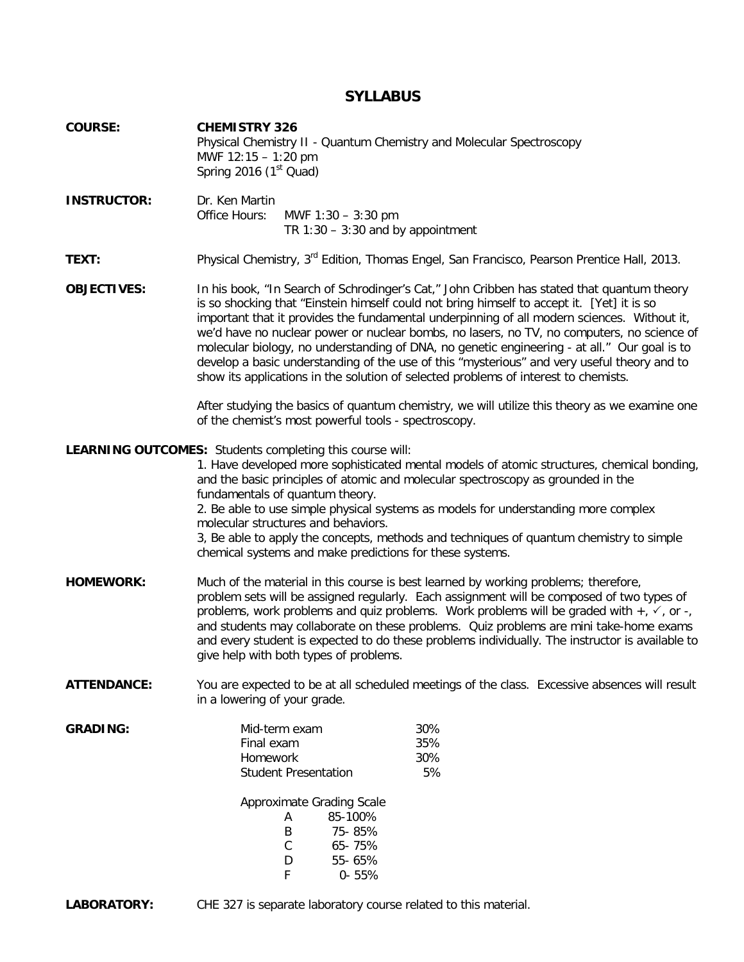## **SYLLABUS**

| <b>COURSE:</b>     | <b>CHEMISTRY 326</b><br>Physical Chemistry II - Quantum Chemistry and Molecular Spectroscopy<br>MWF 12:15 - 1:20 pm<br>Spring 2016 (1 <sup>st</sup> Quad)                                                                                                                                                                                                                                                                                                                                                                                                                                                                                                                                                                                                                    |                                                                                       |                         |  |  |  |  |
|--------------------|------------------------------------------------------------------------------------------------------------------------------------------------------------------------------------------------------------------------------------------------------------------------------------------------------------------------------------------------------------------------------------------------------------------------------------------------------------------------------------------------------------------------------------------------------------------------------------------------------------------------------------------------------------------------------------------------------------------------------------------------------------------------------|---------------------------------------------------------------------------------------|-------------------------|--|--|--|--|
| <b>INSTRUCTOR:</b> | Dr. Ken Martin<br>Office Hours:                                                                                                                                                                                                                                                                                                                                                                                                                                                                                                                                                                                                                                                                                                                                              | MWF $1:30 - 3:30$ pm<br>TR $1:30 - 3:30$ and by appointment                           |                         |  |  |  |  |
| TEXT:              | Physical Chemistry, 3 <sup>rd</sup> Edition, Thomas Engel, San Francisco, Pearson Prentice Hall, 2013.                                                                                                                                                                                                                                                                                                                                                                                                                                                                                                                                                                                                                                                                       |                                                                                       |                         |  |  |  |  |
| <b>OBJECTIVES:</b> | In his book, "In Search of Schrodinger's Cat," John Cribben has stated that quantum theory<br>is so shocking that "Einstein himself could not bring himself to accept it. [Yet] it is so<br>important that it provides the fundamental underpinning of all modern sciences. Without it,<br>we'd have no nuclear power or nuclear bombs, no lasers, no TV, no computers, no science of<br>molecular biology, no understanding of DNA, no genetic engineering - at all." Our goal is to<br>develop a basic understanding of the use of this "mysterious" and very useful theory and to<br>show its applications in the solution of selected problems of interest to chemists.<br>After studying the basics of quantum chemistry, we will utilize this theory as we examine one |                                                                                       |                         |  |  |  |  |
|                    | of the chemist's most powerful tools - spectroscopy.                                                                                                                                                                                                                                                                                                                                                                                                                                                                                                                                                                                                                                                                                                                         |                                                                                       |                         |  |  |  |  |
|                    | <b>LEARNING OUTCOMES:</b> Students completing this course will:<br>1. Have developed more sophisticated mental models of atomic structures, chemical bonding,<br>and the basic principles of atomic and molecular spectroscopy as grounded in the<br>fundamentals of quantum theory.<br>2. Be able to use simple physical systems as models for understanding more complex<br>molecular structures and behaviors.<br>3, Be able to apply the concepts, methods and techniques of quantum chemistry to simple<br>chemical systems and make predictions for these systems.                                                                                                                                                                                                     |                                                                                       |                         |  |  |  |  |
| <b>HOMEWORK:</b>   | Much of the material in this course is best learned by working problems; therefore,<br>problem sets will be assigned regularly. Each assignment will be composed of two types of<br>problems, work problems and quiz problems. Work problems will be graded with $+$ , $\checkmark$ , or -,<br>and students may collaborate on these problems. Quiz problems are mini take-home exams<br>and every student is expected to do these problems individually. The instructor is available to<br>give help with both types of problems.                                                                                                                                                                                                                                           |                                                                                       |                         |  |  |  |  |
| <b>ATTENDANCE:</b> | You are expected to be at all scheduled meetings of the class. Excessive absences will result<br>in a lowering of your grade.                                                                                                                                                                                                                                                                                                                                                                                                                                                                                                                                                                                                                                                |                                                                                       |                         |  |  |  |  |
| <b>GRADING:</b>    | Final exam<br>Homework                                                                                                                                                                                                                                                                                                                                                                                                                                                                                                                                                                                                                                                                                                                                                       | Mid-term exam<br><b>Student Presentation</b><br>Approximate Grading Scale             | 30%<br>35%<br>30%<br>5% |  |  |  |  |
|                    |                                                                                                                                                                                                                                                                                                                                                                                                                                                                                                                                                                                                                                                                                                                                                                              | 85-100%<br>Α<br>B<br>75-85%<br>$\mathsf C$<br>65-75%<br>D<br>55-65%<br>F<br>$0 - 55%$ |                         |  |  |  |  |

**LABORATORY:** CHE 327 is separate laboratory course related to this material.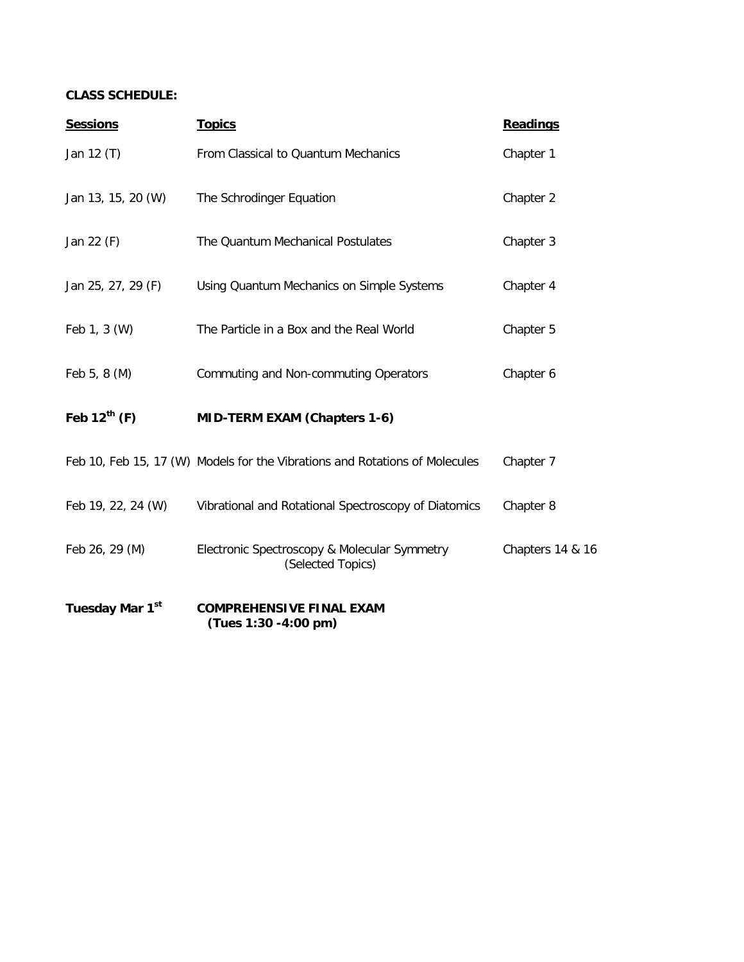### **CLASS SCHEDULE:**

| <b>Sessions</b>             | <b>Topics</b>                                                               | <b>Readings</b>  |
|-----------------------------|-----------------------------------------------------------------------------|------------------|
| Jan 12 (T)                  | From Classical to Quantum Mechanics                                         | Chapter 1        |
| Jan 13, 15, 20 (W)          | The Schrodinger Equation                                                    | Chapter 2        |
| Jan 22 (F)                  | The Quantum Mechanical Postulates                                           | Chapter 3        |
| Jan 25, 27, 29 (F)          | Using Quantum Mechanics on Simple Systems                                   | Chapter 4        |
| Feb 1, 3 (W)                | The Particle in a Box and the Real World                                    | Chapter 5        |
| Feb 5, 8 (M)                | Commuting and Non-commuting Operators                                       | Chapter 6        |
| Feb $12^{th}$ (F)           | <b>MID-TERM EXAM (Chapters 1-6)</b>                                         |                  |
|                             | Feb 10, Feb 15, 17 (W) Models for the Vibrations and Rotations of Molecules | Chapter 7        |
| Feb 19, 22, 24 (W)          | Vibrational and Rotational Spectroscopy of Diatomics                        | Chapter 8        |
| Feb 26, 29 (M)              | Electronic Spectroscopy & Molecular Symmetry<br>(Selected Topics)           | Chapters 14 & 16 |
| Tuesday Mar 1 <sup>st</sup> | <b>COMPREHENSIVE FINAL EXAM</b><br>(Tues 1:30 -4:00 pm)                     |                  |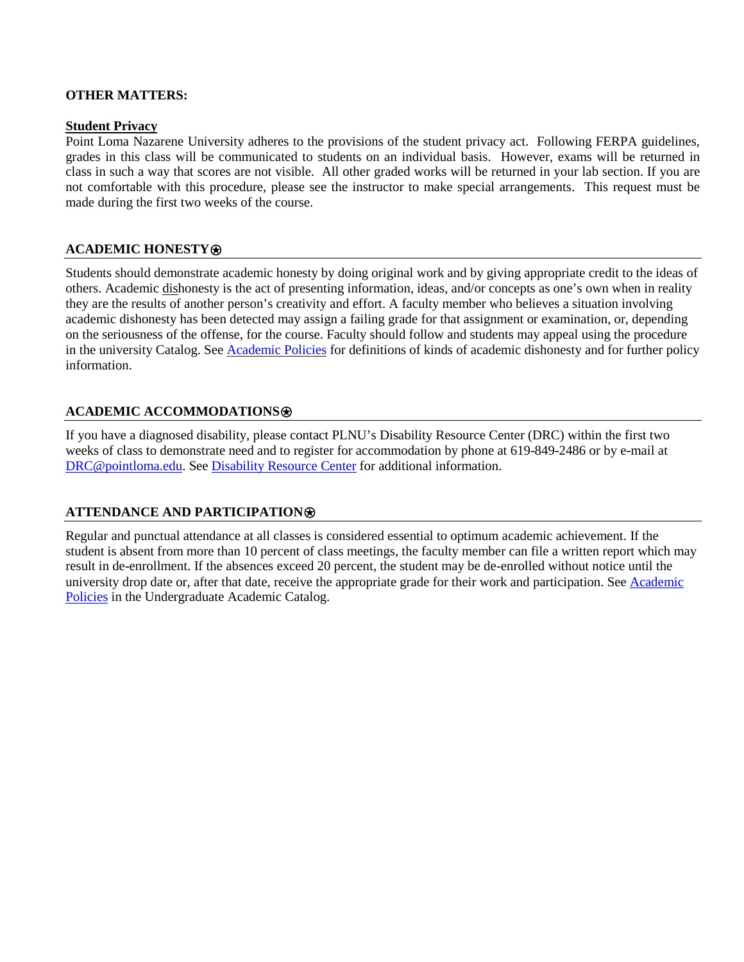#### **OTHER MATTERS:**

#### **Student Privacy**

Point Loma Nazarene University adheres to the provisions of the student privacy act. Following FERPA guidelines, grades in this class will be communicated to students on an individual basis. However, exams will be returned in class in such a way that scores are not visible. All other graded works will be returned in your lab section. If you are not comfortable with this procedure, please see the instructor to make special arrangements. This request must be made during the first two weeks of the course.

#### **ACADEMIC HONESTY**⍟

Students should demonstrate academic honesty by doing original work and by giving appropriate credit to the ideas of others. Academic dishonesty is the act of presenting information, ideas, and/or concepts as one's own when in reality they are the results of another person's creativity and effort. A faculty member who believes a situation involving academic dishonesty has been detected may assign a failing grade for that assignment or examination, or, depending on the seriousness of the offense, for the course. Faculty should follow and students may appeal using the procedure in the university Catalog. See [Academic Policies](http://catalog.pointloma.edu/content.php?catoid=18&navoid=1278) for definitions of kinds of academic dishonesty and for further policy information.

#### **ACADEMIC ACCOMMODATIONS**⍟

If you have a diagnosed disability, please contact PLNU's Disability Resource Center (DRC) within the first two weeks of class to demonstrate need and to register for accommodation by phone at 619-849-2486 or by e-mail at [DRC@pointloma.edu.](mailto:DRC@pointloma.edu) See [Disability Resource Center](http://www.pointloma.edu/experience/offices/administrative-offices/academic-advising-office/disability-resource-center) for additional information.

#### **ATTENDANCE AND PARTICIPATION**⍟

Regular and punctual attendance at all classes is considered essential to optimum academic achievement. If the student is absent from more than 10 percent of class meetings, the faculty member can file a written report which may result in de-enrollment. If the absences exceed 20 percent, the student may be de-enrolled without notice until the university drop date or, after that date, receive the appropriate grade for their work and participation. See [Academic](http://catalog.pointloma.edu/content.php?catoid=18&navoid=1278)  [Policies](http://catalog.pointloma.edu/content.php?catoid=18&navoid=1278) in the Undergraduate Academic Catalog.